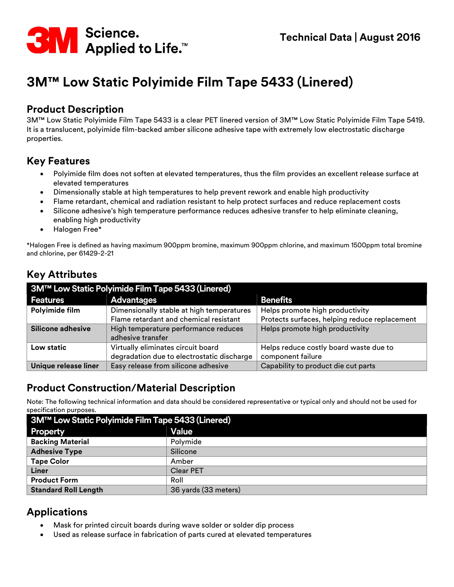

# **3M™ Low Static Polyimide Film Tape 5433 (Linered)**

#### **Product Description**

3M™ Low Static Polyimide Film Tape 5433 is a clear PET linered version of 3M™ Low Static Polyimide Film Tape 5419. It is a translucent, polyimide film-backed amber silicone adhesive tape with extremely low electrostatic discharge properties.

#### **Key Features**

- Polyimide film does not soften at elevated temperatures, thus the film provides an excellent release surface at elevated temperatures
- Dimensionally stable at high temperatures to help prevent rework and enable high productivity
- Flame retardant, chemical and radiation resistant to help protect surfaces and reduce replacement costs
- Silicone adhesive's high temperature performance reduces adhesive transfer to help eliminate cleaning, enabling high productivity
- Halogen Free\*

\*Halogen Free is defined as having maximum 900ppm bromine, maximum 900ppm chlorine, and maximum 1500ppm total bromine and chlorine, per 61429-2-21

## **Key Attributes**

| 3M™ Low Static Polyimide Film Tape 5433 (Linered) |                                            |                                               |  |
|---------------------------------------------------|--------------------------------------------|-----------------------------------------------|--|
| <b>Features</b>                                   | <b>Advantages</b>                          | <b>Benefits</b>                               |  |
| Polyimide film                                    | Dimensionally stable at high temperatures  | Helps promote high productivity               |  |
|                                                   | Flame retardant and chemical resistant     | Protects surfaces, helping reduce replacement |  |
| Silicone adhesive                                 | High temperature performance reduces       | Helps promote high productivity               |  |
|                                                   | adhesive transfer                          |                                               |  |
| Low static                                        | Virtually eliminates circuit board         | Helps reduce costly board waste due to        |  |
|                                                   | degradation due to electrostatic discharge | component failure                             |  |
| Unique release liner                              | Easy release from silicone adhesive        | Capability to product die cut parts           |  |

#### **Product Construction/Material Description**

Note: The following technical information and data should be considered representative or typical only and should not be used for specification purposes.

| 3M™ Low Static Polyimide Film Tape 5433 (Linered) |                      |  |  |
|---------------------------------------------------|----------------------|--|--|
| <b>Property</b>                                   | Value                |  |  |
| <b>Backing Material</b>                           | Polymide             |  |  |
| <b>Adhesive Type</b>                              | Silicone             |  |  |
| <b>Tape Color</b>                                 | Amber                |  |  |
| Liner                                             | <b>Clear PET</b>     |  |  |
| <b>Product Form</b>                               | Roll                 |  |  |
| <b>Standard Roll Length</b>                       | 36 yards (33 meters) |  |  |

## **Applications**

- Mask for printed circuit boards during wave solder or solder dip process
- Used as release surface in fabrication of parts cured at elevated temperatures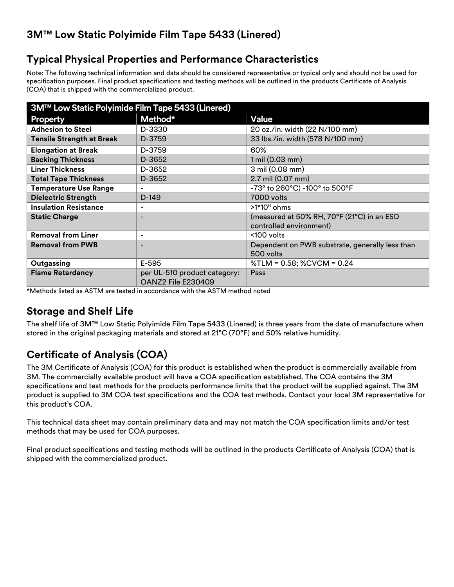# **3M™ Low Static Polyimide Film Tape 5433 (Linered)**

### **Typical Physical Properties and Performance Characteristics**

Note: The following technical information and data should be considered representative or typical only and should not be used for specification purposes. Final product specifications and testing methods will be outlined in the products Certificate of Analysis (COA) that is shipped with the commercialized product.

| 3M™ Low Static Polyimide Film Tape 5433 (Linered) |                              |                                                 |  |
|---------------------------------------------------|------------------------------|-------------------------------------------------|--|
| <b>Property</b>                                   | Method*                      | Value                                           |  |
| <b>Adhesion to Steel</b>                          | D-3330                       | 20 oz./in. width (22 N/100 mm)                  |  |
| <b>Tensile Strength at Break</b>                  | D-3759                       | 33 lbs./in. width (578 N/100 mm)                |  |
| <b>Elongation at Break</b>                        | D-3759                       | 60%                                             |  |
| <b>Backing Thickness</b>                          | D-3652                       | $1 \text{ mil} (0.03 \text{ mm})$               |  |
| <b>Liner Thickness</b>                            | D-3652                       | 3 mil (0.08 mm)                                 |  |
| <b>Total Tape Thickness</b>                       | D-3652                       | 2.7 mil (0.07 mm)                               |  |
| <b>Temperature Use Range</b>                      | -                            | -73° to 260°C) -100° to 500°F                   |  |
| <b>Dielectric Strength</b>                        | $D-149$                      | 7000 volts                                      |  |
| <b>Insulation Resistance</b>                      |                              | $>1*10^6$ ohms                                  |  |
| <b>Static Charge</b>                              |                              | (measured at 50% RH, 70°F (21°C) in an ESD      |  |
|                                                   |                              | controlled environment)                         |  |
| <b>Removal from Liner</b>                         | $\overline{\phantom{a}}$     | <100 volts                                      |  |
| <b>Removal from PWB</b>                           |                              | Dependent on PWB substrate, generally less than |  |
|                                                   |                              | 500 volts                                       |  |
| Outgassing                                        | E-595                        | %TLM = 0.58; %CVCM = 0.24                       |  |
| <b>Flame Retardancy</b>                           | per UL-510 product category: | Pass                                            |  |
|                                                   | <b>OANZ2 File E230409</b>    |                                                 |  |

\*Methods listed as ASTM are tested in accordance with the ASTM method noted

## **Storage and Shelf Life**

The shelf life of 3M™ Low Static Polyimide Film Tape 5433 (Linered) is three years from the date of manufacture when stored in the original packaging materials and stored at 21°C (70°F) and 50% relative humidity.

# **Certificate of Analysis (COA)**

The 3M Certificate of Analysis (COA) for this product is established when the product is commercially available from 3M. The commercially available product will have a COA specification established. The COA contains the 3M specifications and test methods for the products performance limits that the product will be supplied against. The 3M product is supplied to 3M COA test specifications and the COA test methods. Contact your local 3M representative for this product's COA.

This technical data sheet may contain preliminary data and may not match the COA specification limits and/or test methods that may be used for COA purposes.

Final product specifications and testing methods will be outlined in the products Certificate of Analysis (COA) that is shipped with the commercialized product.